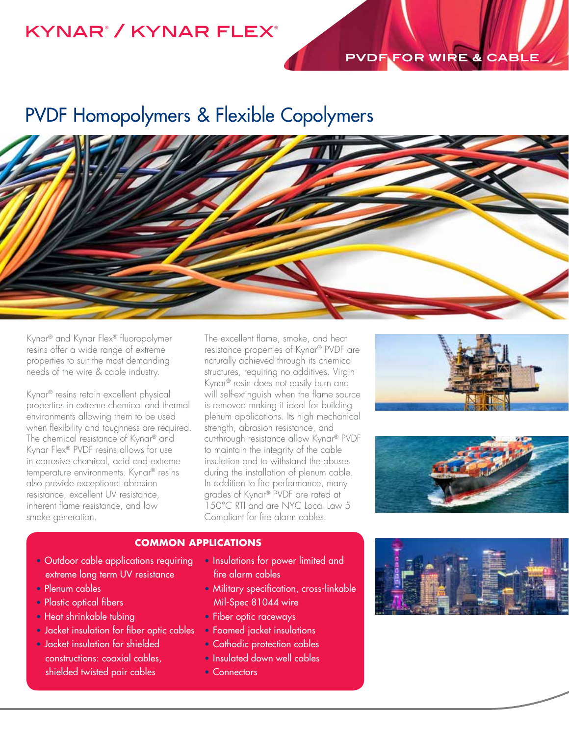## kynar® / kynar flex®

### **PVDF FOR WIRE & CABLE**

# PVDF Homopolymers & Flexible Copolymers



Kynar® and Kynar Flex® fluoropolymer resins offer a wide range of extreme properties to suit the most demanding needs of the wire & cable industry.

Kynar® resins retain excellent physical properties in extreme chemical and thermal environments allowing them to be used when flexibility and toughness are required. The chemical resistance of Kynar® and Kynar Flex® PVDF resins allows for use in corrosive chemical, acid and extreme temperature environments. Kynar® resins also provide exceptional abrasion resistance, excellent UV resistance, inherent flame resistance, and low smoke generation.

The excellent flame, smoke, and heat resistance properties of Kynar® PVDF are naturally achieved through its chemical structures, requiring no additives. Virgin Kynar® resin does not easily burn and will self-extinguish when the flame source is removed making it ideal for building plenum applications. Its high mechanical strength, abrasion resistance, and cut-through resistance allow Kynar® PVDF to maintain the integrity of the cable insulation and to withstand the abuses during the installation of plenum cable. In addition to fire performance, many grades of Kynar® PVDF are rated at 150°C RTI and are NYC Local Law 5 Compliant for fire alarm cables.





#### **COMMON APPLICATIONS**

- Outdoor cable applications requiring extreme long term UV resistance
- Plenum cables
- Plastic optical fibers
- Heat shrinkable tubing
- Jacket insulation for fiber optic cables
- Jacket insulation for shielded constructions: coaxial cables, shielded twisted pair cables
- Insulations for power limited and fire alarm cables
- Military specification, cross-linkable Mil-Spec 81044 wire
- Fiber optic raceways
- Foamed jacket insulations
- Cathodic protection cables
- Insulated down well cables
- Connectors